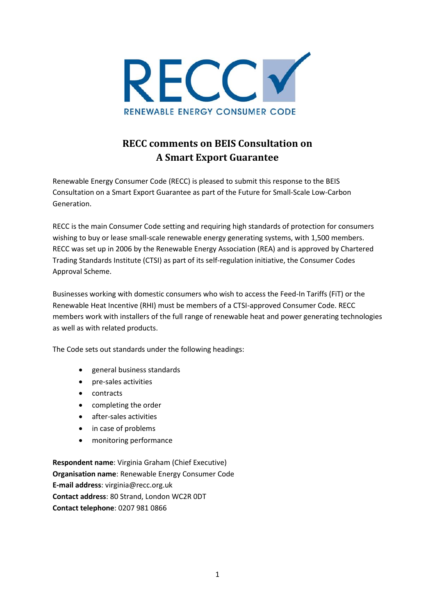

# **RECC comments on BEIS Consultation on A Smart Export Guarantee**

Renewable Energy Consumer Code (RECC) is pleased to submit this response to the BEIS Consultation on a Smart Export Guarantee as part of the Future for Small-Scale Low-Carbon Generation.

RECC is the main Consumer Code setting and requiring high standards of protection for consumers wishing to buy or lease small-scale renewable energy generating systems, with 1,500 members. RECC was set up in 2006 by the Renewable Energy Association (REA) and is approved by Chartered Trading Standards Institute (CTSI) as part of its self-regulation initiative, the Consumer Codes Approval Scheme.

Businesses working with domestic consumers who wish to access the Feed-In Tariffs (FiT) or the Renewable Heat Incentive (RHI) must be members of a CTSI-approved Consumer Code. RECC members work with installers of the full range of renewable heat and power generating technologies as well as with related products.

The Code sets out standards under the following headings:

- [general business standards](https://www.recc.org.uk/scheme/consumer-code#tag4)
- [pre-sales activities](https://www.recc.org.uk/scheme/consumer-code#tag5)
- [contracts](https://www.recc.org.uk/scheme/consumer-code#tag6)
- [completing the order](https://www.recc.org.uk/scheme/consumer-code#tag7)
- [after-sales activities](https://www.recc.org.uk/scheme/consumer-code#tag8)
- [in case of problems](https://www.recc.org.uk/scheme/consumer-code#tag9)
- [monitoring performance](https://www.recc.org.uk/scheme/consumer-code#tag10)

**Respondent name**: Virginia Graham (Chief Executive) **Organisation name**: Renewable Energy Consumer Code **E-mail address**: virginia@recc.org.uk **Contact address**: 80 Strand, London WC2R 0DT **Contact telephone**: 0207 981 0866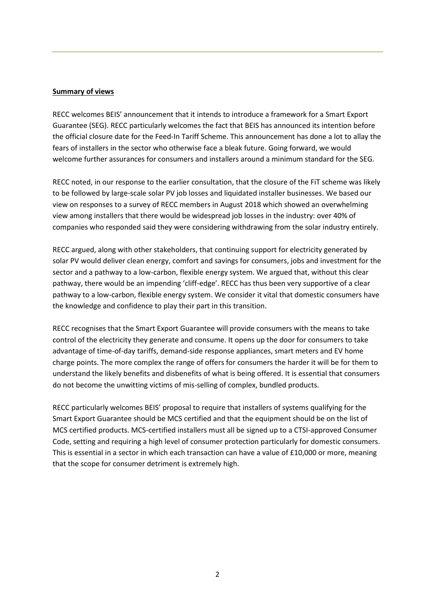#### **Summary of views**

RECC welcomes BEIS' announcement that it intends to introduce a framework for a Smart Export Guarantee (SEG). RECC particularly welcomes the fact that BEIS has announced its intention before the official closure date for the Feed-In Tariff Scheme. This announcement has done a lot to allay the fears of installers in the sector who otherwise face a bleak future. Going forward, we would welcome further assurances for consumers and installers around a minimum standard for the SEG.

RECC noted, in our response to the earlier consultation, that the closure of the FiT scheme was likely to be followed by large-scale solar PV job losses and liquidated installer businesses. We based our view on responses to a survey of RECC members in August 2018 which showed an overwhelming view among installers that there would be widespread job losses in the industry: over 40% of companies who responded said they were considering withdrawing from the solar industry entirely.

RECC argued, along with other stakeholders, that continuing support for electricity generated by solar PV would deliver clean energy, comfort and savings for consumers, jobs and investment for the sector and a pathway to a low-carbon, flexible energy system. We argued that, without this clear pathway, there would be an impending 'cliff-edge'. RECC has thus been very supportive of a clear pathway to a low-carbon, flexible energy system. We consider it vital that domestic consumers have the knowledge and confidence to play their part in this transition.

RECC recognises that the Smart Export Guarantee will provide consumers with the means to take control of the electricity they generate and consume. It opens up the door for consumers to take advantage of time-of-day tariffs, demand-side response appliances, smart meters and EV home charge points. The more complex the range of offers for consumers the harder it will be for them to understand the likely benefits and disbenefits of what is being offered. It is essential that consumers do not become the unwitting victims of mis-selling of complex, bundled products.

RECC particularly welcomes BEIS' proposal to require that installers of systems qualifying for the Smart Export Guarantee should be MCS certified and that the equipment should be on the list of MCS certified products. MCS-certified installers must all be signed up to a CTSI-approved Consumer Code, setting and requiring a high level of consumer protection particularly for domestic consumers. This is essential in a sector in which each transaction can have a value of £10,000 or more, meaning that the scope for consumer detriment is extremely high.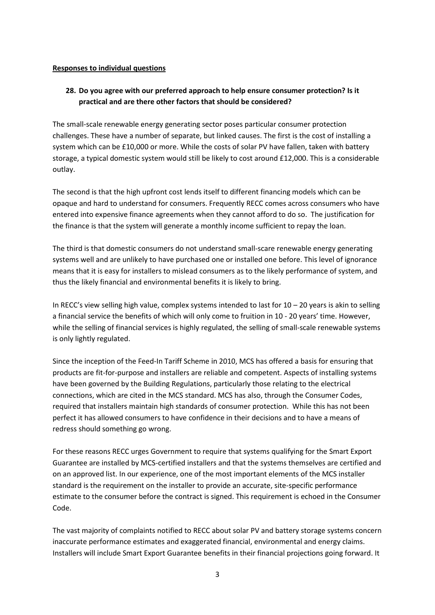#### **Responses to individual questions**

## **28. Do you agree with our preferred approach to help ensure consumer protection? Is it practical and are there other factors that should be considered?**

The small-scale renewable energy generating sector poses particular consumer protection challenges. These have a number of separate, but linked causes. The first is the cost of installing a system which can be £10,000 or more. While the costs of solar PV have fallen, taken with battery storage, a typical domestic system would still be likely to cost around £12,000. This is a considerable outlay.

The second is that the high upfront cost lends itself to different financing models which can be opaque and hard to understand for consumers. Frequently RECC comes across consumers who have entered into expensive finance agreements when they cannot afford to do so. The justification for the finance is that the system will generate a monthly income sufficient to repay the loan.

The third is that domestic consumers do not understand small-scare renewable energy generating systems well and are unlikely to have purchased one or installed one before. This level of ignorance means that it is easy for installers to mislead consumers as to the likely performance of system, and thus the likely financial and environmental benefits it is likely to bring.

In RECC's view selling high value, complex systems intended to last for  $10 - 20$  years is akin to selling a financial service the benefits of which will only come to fruition in 10 - 20 years' time. However, while the selling of financial services is highly regulated, the selling of small-scale renewable systems is only lightly regulated.

Since the inception of the Feed-In Tariff Scheme in 2010, MCS has offered a basis for ensuring that products are fit-for-purpose and installers are reliable and competent. Aspects of installing systems have been governed by the Building Regulations, particularly those relating to the electrical connections, which are cited in the MCS standard. MCS has also, through the Consumer Codes, required that installers maintain high standards of consumer protection. While this has not been perfect it has allowed consumers to have confidence in their decisions and to have a means of redress should something go wrong.

For these reasons RECC urges Government to require that systems qualifying for the Smart Export Guarantee are installed by MCS-certified installers and that the systems themselves are certified and on an approved list. In our experience, one of the most important elements of the MCS installer standard is the requirement on the installer to provide an accurate, site-specific performance estimate to the consumer before the contract is signed. This requirement is echoed in the Consumer Code.

The vast majority of complaints notified to RECC about solar PV and battery storage systems concern inaccurate performance estimates and exaggerated financial, environmental and energy claims. Installers will include Smart Export Guarantee benefits in their financial projections going forward. It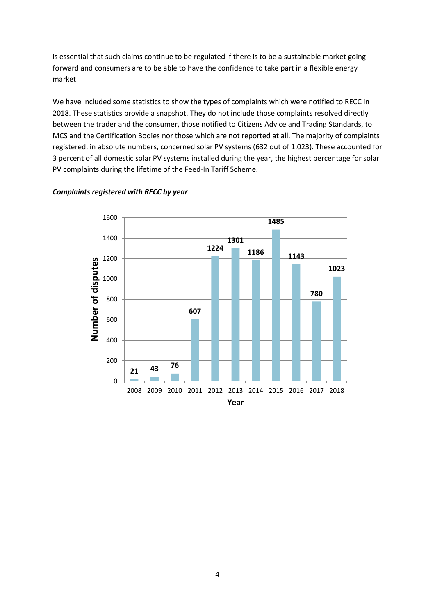is essential that such claims continue to be regulated if there is to be a sustainable market going forward and consumers are to be able to have the confidence to take part in a flexible energy market.

We have included some statistics to show the types of complaints which were notified to RECC in 2018. These statistics provide a snapshot. They do not include those complaints resolved directly between the trader and the consumer, those notified to Citizens Advice and Trading Standards, to MCS and the Certification Bodies nor those which are not reported at all. The majority of complaints registered, in absolute numbers, concerned solar PV systems (632 out of 1,023). These accounted for 3 percent of all domestic solar PV systems installed during the year, the highest percentage for solar PV complaints during the lifetime of the Feed-In Tariff Scheme.



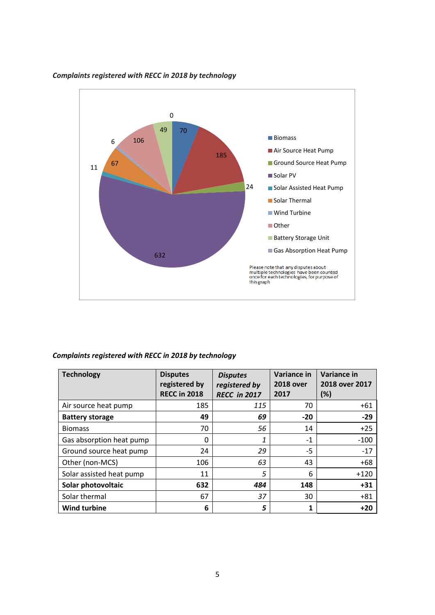

#### *Complaints registered with RECC in 2018 by technology*

#### *Complaints registered with RECC in 2018 by technology*

| <b>Technology</b>        | <b>Disputes</b><br>registered by<br><b>RECC in 2018</b> | <b>Disputes</b><br>registered by<br><b>RECC in 2017</b> | Variance in<br><b>2018 over</b><br>2017 | <b>Variance in</b><br>2018 over 2017<br>(%) |
|--------------------------|---------------------------------------------------------|---------------------------------------------------------|-----------------------------------------|---------------------------------------------|
| Air source heat pump     | 185                                                     | 115                                                     | 70                                      | $+61$                                       |
| <b>Battery storage</b>   | 49                                                      | 69                                                      | $-20$                                   | $-29$                                       |
| <b>Biomass</b>           | 70                                                      | 56                                                      | 14                                      | $+25$                                       |
| Gas absorption heat pump | $\Omega$                                                | 1                                                       | $-1$                                    | $-100$                                      |
| Ground source heat pump  | 24                                                      | 29                                                      | $-5$                                    | $-17$                                       |
| Other (non-MCS)          | 106                                                     | 63                                                      | 43                                      | $+68$                                       |
| Solar assisted heat pump | 11                                                      | 5                                                       | 6                                       | $+120$                                      |
| Solar photovoltaic       | 632                                                     | 484                                                     | 148                                     | $+31$                                       |
| Solar thermal            | 67                                                      | 37                                                      | 30                                      | $+81$                                       |
| <b>Wind turbine</b>      | 6                                                       | 5                                                       |                                         | $+20$                                       |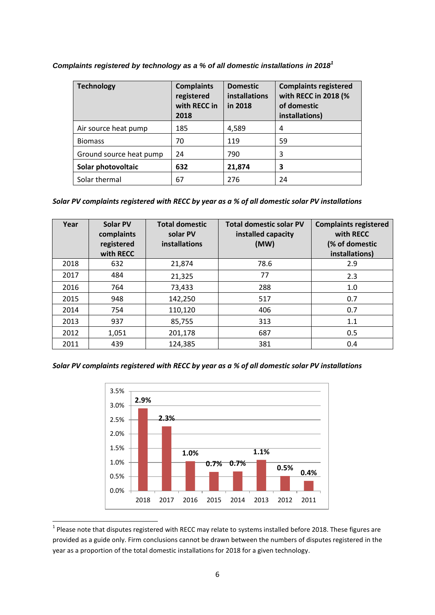*Complaints registered by technology as a % of all domestic installations in 2018<sup>1</sup>*

| <b>Technology</b>       | <b>Complaints</b><br>registered<br>with RECC in<br>2018 | <b>Domestic</b><br><b>installations</b><br>in 2018 | <b>Complaints registered</b><br>with RECC in 2018 (%<br>of domestic<br>installations) |
|-------------------------|---------------------------------------------------------|----------------------------------------------------|---------------------------------------------------------------------------------------|
| Air source heat pump    | 185                                                     | 4,589                                              | 4                                                                                     |
| <b>Biomass</b>          | 70                                                      | 119                                                | 59                                                                                    |
| Ground source heat pump | 24                                                      | 790                                                | 3                                                                                     |
| Solar photovoltaic      | 632                                                     | 21,874                                             | 3                                                                                     |
| Solar thermal           | 67                                                      | 276                                                | 24                                                                                    |

*Solar PV complaints registered with RECC by year as a % of all domestic solar PV installations*

| Year | Solar PV<br>complaints<br>registered<br>with RECC | <b>Total domestic</b><br>solar PV<br><b>installations</b> | <b>Total domestic solar PV</b><br>installed capacity<br>(MW) | <b>Complaints registered</b><br>with RECC<br>(% of domestic<br>installations) |
|------|---------------------------------------------------|-----------------------------------------------------------|--------------------------------------------------------------|-------------------------------------------------------------------------------|
| 2018 | 632                                               | 21,874                                                    | 78.6                                                         | 2.9                                                                           |
| 2017 | 484                                               | 21,325                                                    | 77                                                           | 2.3                                                                           |
| 2016 | 764                                               | 73,433                                                    | 288                                                          | 1.0                                                                           |
| 2015 | 948                                               | 142,250                                                   | 517                                                          | 0.7                                                                           |
| 2014 | 754                                               | 110,120                                                   | 406                                                          | 0.7                                                                           |
| 2013 | 937                                               | 85,755                                                    | 313                                                          | 1.1                                                                           |
| 2012 | 1,051                                             | 201,178                                                   | 687                                                          | 0.5                                                                           |
| 2011 | 439                                               | 124,385                                                   | 381                                                          | 0.4                                                                           |

### *Solar PV complaints registered with RECC by year as a % of all domestic solar PV installations*



 1 Please note that disputes registered with RECC may relate to systems installed before 2018. These figures are provided as a guide only. Firm conclusions cannot be drawn between the numbers of disputes registered in the year as a proportion of the total domestic installations for 2018 for a given technology.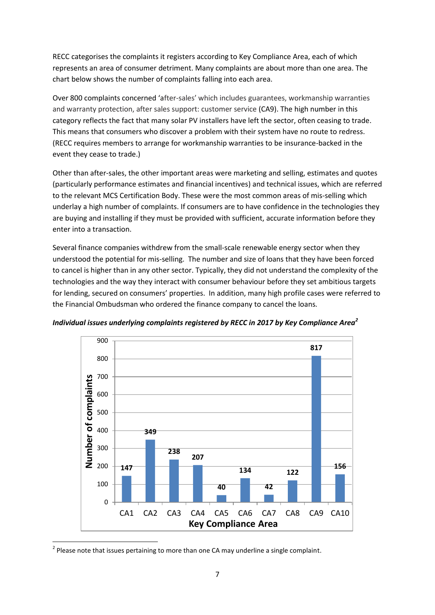RECC categorises the complaints it registers according to Key Compliance Area, each of which represents an area of consumer detriment. Many complaints are about more than one area. The chart below shows the number of complaints falling into each area.

Over 800 complaints concerned 'after-sales' which includes guarantees, workmanship warranties and warranty protection, after sales support: customer service (CA9). The high number in this category reflects the fact that many solar PV installers have left the sector, often ceasing to trade. This means that consumers who discover a problem with their system have no route to redress. (RECC requires members to arrange for workmanship warranties to be insurance-backed in the event they cease to trade.)

Other than after-sales, the other important areas were marketing and selling, estimates and quotes (particularly performance estimates and financial incentives) and technical issues, which are referred to the relevant MCS Certification Body. These were the most common areas of mis-selling which underlay a high number of complaints. If consumers are to have confidence in the technologies they are buying and installing if they must be provided with sufficient, accurate information before they enter into a transaction.

Several finance companies withdrew from the small-scale renewable energy sector when they understood the potential for mis-selling. The number and size of loans that they have been forced to cancel is higher than in any other sector. Typically, they did not understand the complexity of the technologies and the way they interact with consumer behaviour before they set ambitious targets for lending, secured on consumers' properties. In addition, many high profile cases were referred to the Financial Ombudsman who ordered the finance company to cancel the loans.



*Individual issues underlying complaints registered by RECC in 2017 by Key Compliance Area<sup>2</sup>*

1

 $2$  Please note that issues pertaining to more than one CA may underline a single complaint.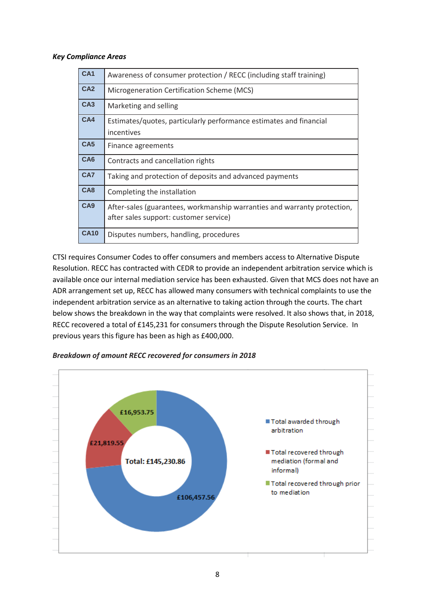#### *Key Compliance Areas*

| CA <sub>1</sub> | Awareness of consumer protection / RECC (including staff training)                                                 |
|-----------------|--------------------------------------------------------------------------------------------------------------------|
| CA <sub>2</sub> | Microgeneration Certification Scheme (MCS)                                                                         |
| CA <sub>3</sub> | Marketing and selling                                                                                              |
| CA4             | Estimates/quotes, particularly performance estimates and financial<br>incentives                                   |
| CA <sub>5</sub> | Finance agreements                                                                                                 |
| CA <sub>6</sub> | Contracts and cancellation rights                                                                                  |
| CA7             | Taking and protection of deposits and advanced payments                                                            |
| CA8             | Completing the installation                                                                                        |
| CA <sub>9</sub> | After-sales (guarantees, workmanship warranties and warranty protection,<br>after sales support: customer service) |
| <b>CA10</b>     | Disputes numbers, handling, procedures                                                                             |

CTSI requires Consumer Codes to offer consumers and members access to Alternative Dispute Resolution. RECC has contracted with CEDR to provide an independent arbitration service which is available once our internal mediation service has been exhausted. Given that MCS does not have an ADR arrangement set up, RECC has allowed many consumers with technical complaints to use the independent arbitration service as an alternative to taking action through the courts. The chart below shows the breakdown in the way that complaints were resolved. It also shows that, in 2018, RECC recovered a total of £145,231 for consumers through the Dispute Resolution Service. In previous years this figure has been as high as £400,000.



#### *Breakdown of amount RECC recovered for consumers in 2018*